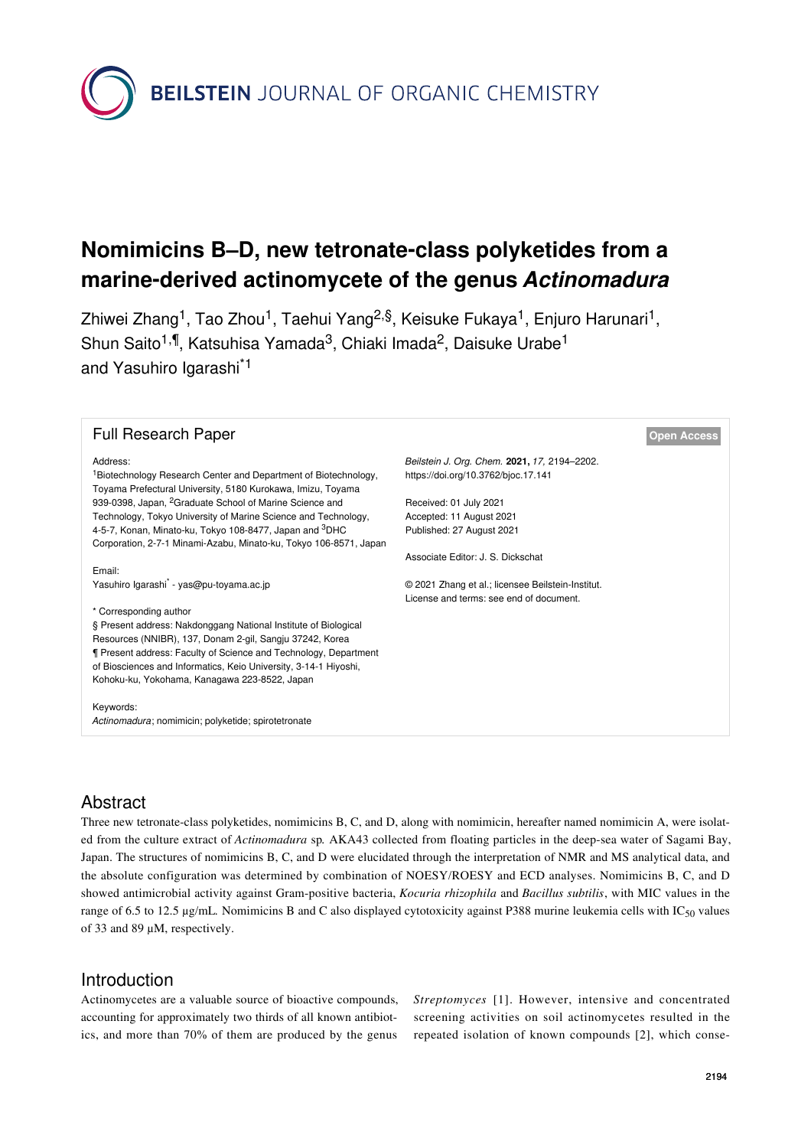**BEILSTEIN** JOURNAL OF ORGANIC CHEMISTRY

# **Nomimicins B–D, new tetronate-class polyketides from a marine-derived actinomycete of the genus** *Actinomadura*

Zhiwei Zhang<sup>1</sup>, Tao Zhou<sup>1</sup>, Taehui Yang<sup>2,§</sup>, Keisuke Fukaya<sup>1</sup>, Enjuro Harunari<sup>1</sup>, Shun Saito<sup>1,¶</sup>, Katsuhisa Yamada<sup>3</sup>, Chiaki Imada<sup>2</sup>, Daisuke Urabe<sup>1</sup> and Yasuhiro Igarashi\*1

### **Full Research Paper [Open Access](https://www.beilstein-journals.org/bjoc/about/openAccess.htm)**

#### Address:

<sup>1</sup>Biotechnology Research Center and Department of Biotechnology, Toyama Prefectural University, 5180 Kurokawa, Imizu, Toyama 939-0398, Japan, 2Graduate School of Marine Science and Technology, Tokyo University of Marine Science and Technology, 4-5-7, Konan, Minato-ku, Tokyo 108-8477, Japan and <sup>3</sup>DHC Corporation, 2-7-1 Minami-Azabu, Minato-ku, Tokyo 106-8571, Japan

Email:

Yasuhiro Igarashi\* - [yas@pu-toyama.ac.jp](mailto:yas@pu-toyama.ac.jp)

\* Corresponding author

§ Present address: Nakdonggang National Institute of Biological Resources (NNIBR), 137, Donam 2-gil, Sangju 37242, Korea ¶ Present address: Faculty of Science and Technology, Department of Biosciences and Informatics, Keio University, 3-14-1 Hiyoshi, Kohoku-ku, Yokohama, Kanagawa 223-8522, Japan

Keywords:

*Actinomadura*; nomimicin; polyketide; spirotetronate

*Beilstein J. Org. Chem.* **2021,** *17,* 2194–2202. <https://doi.org/10.3762/bjoc.17.141>

Received: 01 July 2021 Accepted: 11 August 2021 Published: 27 August 2021

Associate Editor: J. S. Dickschat

© 2021 Zhang et al.; licensee Beilstein-Institut. License and terms: see end of document.

# Abstract

Three new tetronate-class polyketides, nomimicins B, C, and D, along with nomimicin, hereafter named nomimicin A, were isolated from the culture extract of *Actinomadura* sp*.* AKA43 collected from floating particles in the deep-sea water of Sagami Bay, Japan. The structures of nomimicins B, C, and D were elucidated through the interpretation of NMR and MS analytical data, and the absolute configuration was determined by combination of NOESY/ROESY and ECD analyses. Nomimicins B, C, and D showed antimicrobial activity against Gram-positive bacteria, *Kocuria rhizophila* and *Bacillus subtilis*, with MIC values in the range of 6.5 to 12.5 μg/mL*.* Nomimicins B and C also displayed cytotoxicity against P388 murine leukemia cells with IC50 values of 33 and 89 μM, respectively.

# Introduction

Actinomycetes are a valuable source of bioactive compounds, accounting for approximately two thirds of all known antibiotics, and more than 70% of them are produced by the genus *Streptomyces* [\[1\]](#page-7-0). However, intensive and concentrated screening activities on soil actinomycetes resulted in the repeated isolation of known compounds [\[2\]](#page-7-1), which conse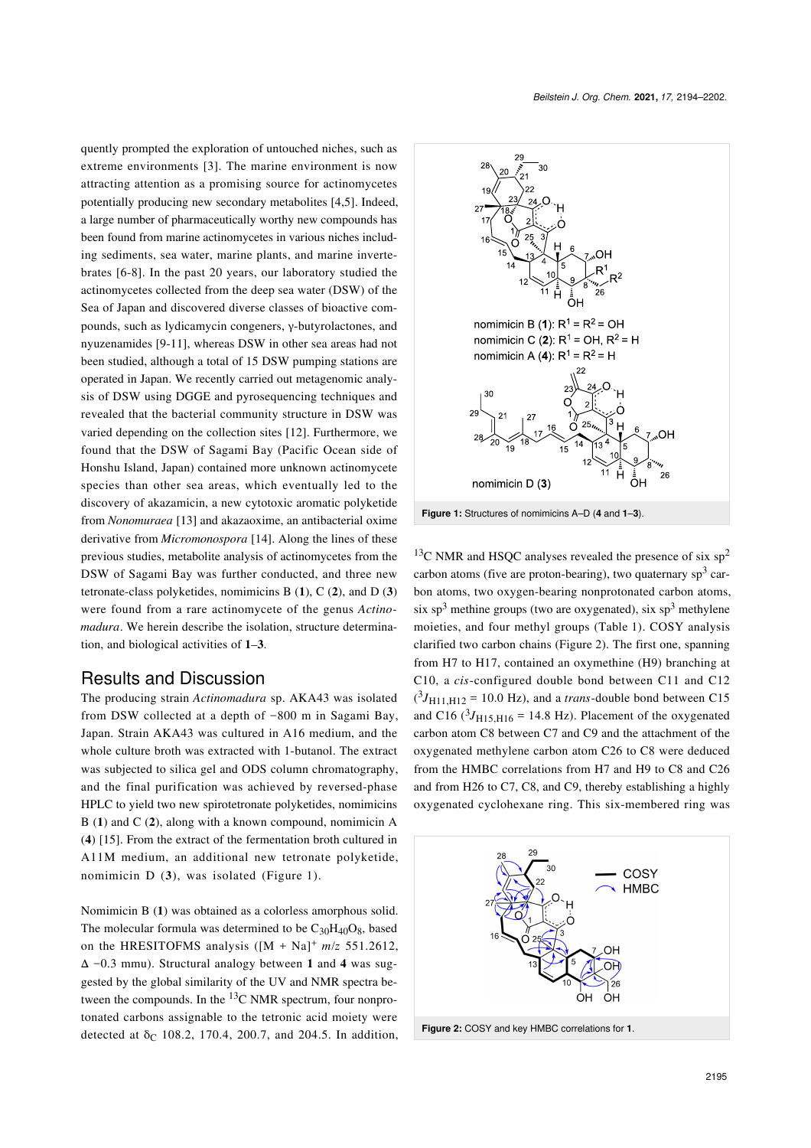quently prompted the exploration of untouched niches, such as extreme environments [\[3\]](#page-8-0). The marine environment is now attracting attention as a promising source for actinomycetes potentially producing new secondary metabolites [\[4,5\]](#page-8-1). Indeed, a large number of pharmaceutically worthy new compounds has been found from marine actinomycetes in various niches including sediments, sea water, marine plants, and marine invertebrates [\[6-8\]](#page-8-2). In the past 20 years, our laboratory studied the actinomycetes collected from the deep sea water (DSW) of the Sea of Japan and discovered diverse classes of bioactive compounds, such as lydicamycin congeners, γ-butyrolactones, and nyuzenamides [\[9-11\]](#page-8-3), whereas DSW in other sea areas had not been studied, although a total of 15 DSW pumping stations are operated in Japan. We recently carried out metagenomic analysis of DSW using DGGE and pyrosequencing techniques and revealed that the bacterial community structure in DSW was varied depending on the collection sites [\[12\].](#page-8-4) Furthermore, we found that the DSW of Sagami Bay (Pacific Ocean side of Honshu Island, Japan) contained more unknown actinomycete species than other sea areas, which eventually led to the discovery of akazamicin, a new cytotoxic aromatic polyketide from *Nonomuraea* [\[13\]](#page-8-5) and akazaoxime, an antibacterial oxime derivative from *Micromonospora* [\[14\]](#page-8-6). Along the lines of these previous studies, metabolite analysis of actinomycetes from the DSW of Sagami Bay was further conducted, and three new tetronate-class polyketides, nomimicins B (**1**), C (**2**), and D (**3**) were found from a rare actinomycete of the genus *Actinomadura*. We herein describe the isolation, structure determination, and biological activities of **1**‒**3**.

### Results and Discussion

The producing strain *Actinomadura* sp. AKA43 was isolated from DSW collected at a depth of −800 m in Sagami Bay, Japan. Strain AKA43 was cultured in A16 medium, and the whole culture broth was extracted with 1-butanol. The extract was subjected to silica gel and ODS column chromatography, and the final purification was achieved by reversed-phase HPLC to yield two new spirotetronate polyketides, nomimicins B (**1**) and C (**2**), along with a known compound, nomimicin A (**4**) [\[15\]](#page-8-7). From the extract of the fermentation broth cultured in A11M medium, an additional new tetronate polyketide, nomimicin D (**3**), was isolated ([Figure 1](#page-1-0)).

Nomimicin B (**1**) was obtained as a colorless amorphous solid. The molecular formula was determined to be  $C_{30}H_{40}O_8$ , based on the HRESITOFMS analysis  $([M + Na]^+ m/z$  551.2612, Δ −0.3 mmu). Structural analogy between **1** and **4** was suggested by the global similarity of the UV and NMR spectra between the compounds. In the  $^{13}$ C NMR spectrum, four nonprotonated carbons assignable to the tetronic acid moiety were detected at  $\delta_C$  108.2, 170.4, 200.7, and 204.5. In addition,

<span id="page-1-0"></span>

**Figure 1:** Structures of nomimicins A–D (**4** and **1**–**3**).

 $13C$  NMR and HSQC analyses revealed the presence of six sp<sup>2</sup> carbon atoms (five are proton-bearing), two quaternary  $sp^3$  carbon atoms, two oxygen-bearing nonprotonated carbon atoms, six sp<sup>3</sup> methine groups (two are oxygenated), six sp<sup>3</sup> methylene moieties, and four methyl groups ([Table 1](#page-2-0)). COSY analysis clarified two carbon chains [\(Figure 2](#page-1-1)). The first one, spanning from H7 to H17, contained an oxymethine (H9) branching at C10, a *cis*-configured double bond between C11 and C12  $(^3J_{\text{H}11, \text{H}12} = 10.0 \text{ Hz}$ ), and a *trans*-double bond between C15 and C16  $(^3J_{H15,H16} = 14.8 \text{ Hz}$ ). Placement of the oxygenated carbon atom C8 between C7 and C9 and the attachment of the oxygenated methylene carbon atom C26 to C8 were deduced from the HMBC correlations from H7 and H9 to C8 and C26 and from H26 to C7, C8, and C9, thereby establishing a highly oxygenated cyclohexane ring. This six-membered ring was

<span id="page-1-1"></span>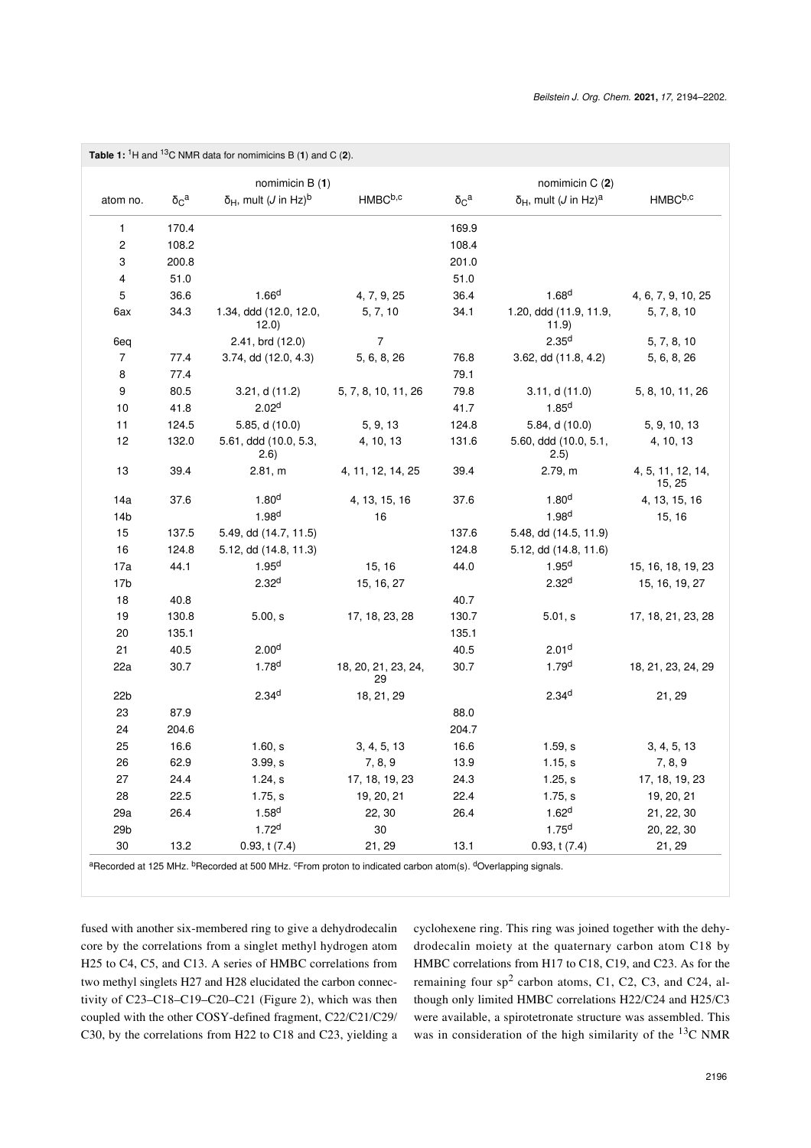<span id="page-2-0"></span>

| Table 1: ${}^{1}$ H and ${}^{13}$ C NMR data for nomimicins B (1) and C (2).                                                                                                                                                                                                                                                                  |                  |                                                  |                           |                  |                                                  |                             |
|-----------------------------------------------------------------------------------------------------------------------------------------------------------------------------------------------------------------------------------------------------------------------------------------------------------------------------------------------|------------------|--------------------------------------------------|---------------------------|------------------|--------------------------------------------------|-----------------------------|
|                                                                                                                                                                                                                                                                                                                                               |                  | nomimicin B (1)                                  |                           |                  | nomimicin C (2)                                  |                             |
| atom no.                                                                                                                                                                                                                                                                                                                                      | $\delta_{C}^{a}$ | $\delta_H$ , mult ( <i>J</i> in Hz) <sup>b</sup> | HMBC <sup>b,c</sup>       | $\delta_{C}^{a}$ | $\delta_H$ , mult ( <i>J</i> in Hz) <sup>a</sup> | HMBCb,c                     |
| 1                                                                                                                                                                                                                                                                                                                                             | 170.4            |                                                  |                           | 169.9            |                                                  |                             |
| $\overline{c}$                                                                                                                                                                                                                                                                                                                                | 108.2            |                                                  |                           | 108.4            |                                                  |                             |
| 3                                                                                                                                                                                                                                                                                                                                             | 200.8            |                                                  |                           | 201.0            |                                                  |                             |
| 4                                                                                                                                                                                                                                                                                                                                             | 51.0             |                                                  |                           | 51.0             |                                                  |                             |
| 5                                                                                                                                                                                                                                                                                                                                             | 36.6             | 1.66 <sup>d</sup>                                | 4, 7, 9, 25               | 36.4             | 1.68 <sup>d</sup>                                | 4, 6, 7, 9, 10, 25          |
| 6ax                                                                                                                                                                                                                                                                                                                                           | 34.3             | 1.34, ddd (12.0, 12.0,<br>12.0)                  | 5, 7, 10                  | 34.1             | 1.20, ddd (11.9, 11.9,<br>11.9)                  | 5, 7, 8, 10                 |
| 6eq                                                                                                                                                                                                                                                                                                                                           |                  | 2.41, brd (12.0)                                 | 7                         |                  | 2.35 <sup>d</sup>                                | 5, 7, 8, 10                 |
| 7                                                                                                                                                                                                                                                                                                                                             | 77.4             | 3.74, dd (12.0, 4.3)                             | 5, 6, 8, 26               | 76.8             | 3.62, dd (11.8, 4.2)                             | 5, 6, 8, 26                 |
| 8                                                                                                                                                                                                                                                                                                                                             | 77.4             |                                                  |                           | 79.1             |                                                  |                             |
| 9                                                                                                                                                                                                                                                                                                                                             | 80.5             | 3.21, d(11.2)                                    | 5, 7, 8, 10, 11, 26       | 79.8             | 3.11, d(11.0)                                    | 5, 8, 10, 11, 26            |
| $10$                                                                                                                                                                                                                                                                                                                                          | 41.8             | 2.02 <sup>d</sup>                                |                           | 41.7             | 1.85 <sup>d</sup>                                |                             |
| 11                                                                                                                                                                                                                                                                                                                                            | 124.5            | 5.85, d (10.0)                                   | 5, 9, 13                  | 124.8            | 5.84, d (10.0)                                   | 5, 9, 10, 13                |
| 12                                                                                                                                                                                                                                                                                                                                            | 132.0            | 5.61, ddd (10.0, 5.3,<br>(2.6)                   | 4, 10, 13                 | 131.6            | 5.60, ddd (10.0, 5.1,<br>(2.5)                   | 4, 10, 13                   |
| 13                                                                                                                                                                                                                                                                                                                                            | 39.4             | 2.81, m                                          | 4, 11, 12, 14, 25         | 39.4             | 2.79, m                                          | 4, 5, 11, 12, 14,<br>15, 25 |
| 14a                                                                                                                                                                                                                                                                                                                                           | 37.6             | 1.80 <sup>d</sup>                                | 4, 13, 15, 16             | 37.6             | 1.80 <sup>d</sup>                                | 4, 13, 15, 16               |
| 14 <sub>b</sub>                                                                                                                                                                                                                                                                                                                               |                  | 1.98 <sup>d</sup>                                | 16                        |                  | 1.98 <sup>d</sup>                                | 15, 16                      |
| 15                                                                                                                                                                                                                                                                                                                                            | 137.5            | 5.49, dd (14.7, 11.5)                            |                           | 137.6            | 5.48, dd (14.5, 11.9)                            |                             |
| 16                                                                                                                                                                                                                                                                                                                                            | 124.8            | 5.12, dd (14.8, 11.3)                            |                           | 124.8            | 5.12, dd (14.8, 11.6)                            |                             |
| 17a                                                                                                                                                                                                                                                                                                                                           | 44.1             | 1.95 <sup>d</sup>                                | 15, 16                    | 44.0             | 1.95 <sup>d</sup>                                | 15, 16, 18, 19, 23          |
| 17 <sub>b</sub>                                                                                                                                                                                                                                                                                                                               |                  | 2.32 <sup>d</sup>                                | 15, 16, 27                |                  | 2.32 <sup>d</sup>                                | 15, 16, 19, 27              |
| 18                                                                                                                                                                                                                                                                                                                                            | 40.8             |                                                  |                           | 40.7             |                                                  |                             |
| 19                                                                                                                                                                                                                                                                                                                                            | 130.8            | 5.00, s                                          | 17, 18, 23, 28            | 130.7            | 5.01, s                                          | 17, 18, 21, 23, 28          |
| 20                                                                                                                                                                                                                                                                                                                                            | 135.1            |                                                  |                           | 135.1            |                                                  |                             |
| 21                                                                                                                                                                                                                                                                                                                                            | 40.5             | 2.00 <sup>d</sup>                                |                           | 40.5             | 2.01 <sup>d</sup>                                |                             |
| 22a                                                                                                                                                                                                                                                                                                                                           | 30.7             | 1.78 <sup>d</sup>                                | 18, 20, 21, 23, 24,<br>29 | 30.7             | 1.79 <sup>d</sup>                                | 18, 21, 23, 24, 29          |
| 22 <sub>b</sub>                                                                                                                                                                                                                                                                                                                               |                  | 2.34 <sup>d</sup>                                | 18, 21, 29                |                  | 2.34 <sup>d</sup>                                | 21, 29                      |
| 23                                                                                                                                                                                                                                                                                                                                            | 87.9             |                                                  |                           | 88.0             |                                                  |                             |
| 24                                                                                                                                                                                                                                                                                                                                            | 204.6            |                                                  |                           | 204.7            |                                                  |                             |
| 25                                                                                                                                                                                                                                                                                                                                            | 16.6             | 1.60, s                                          | 3, 4, 5, 13               | 16.6             | 1.59, s                                          | 3, 4, 5, 13                 |
| 26                                                                                                                                                                                                                                                                                                                                            | 62.9             | 3.99, s                                          | 7, 8, 9                   | 13.9             | 1.15, s                                          | 7, 8, 9                     |
| 27                                                                                                                                                                                                                                                                                                                                            | 24.4             | 1.24, s                                          | 17, 18, 19, 23            | 24.3             | 1.25, s                                          | 17, 18, 19, 23              |
| 28                                                                                                                                                                                                                                                                                                                                            | 22.5             | 1.75, s                                          | 19, 20, 21                | 22.4             | 1.75, s                                          | 19, 20, 21                  |
| 29a                                                                                                                                                                                                                                                                                                                                           | 26.4             | 1.58 <sup>d</sup>                                | 22, 30                    | 26.4             | 1.62 <sup>d</sup>                                | 21, 22, 30                  |
| 29 <sub>b</sub>                                                                                                                                                                                                                                                                                                                               |                  | 1.72 <sup>d</sup>                                | 30                        |                  | $1.75^{d}$                                       | 20, 22, 30                  |
| 30                                                                                                                                                                                                                                                                                                                                            | 13.2             | 0.93, t(7.4)                                     | 21, 29                    | 13.1             | 0.93, t(7.4)                                     | 21, 29                      |
| $\alpha_{\rm B}$ are $\alpha_{\rm C}$ and $\alpha_{\rm C}$ are $\alpha_{\rm C}$ are $\alpha_{\rm C}$ are $\alpha_{\rm C}$ are $\alpha_{\rm C}$ are $\alpha_{\rm C}$ are $\alpha_{\rm C}$ are $\alpha_{\rm C}$ are $\alpha_{\rm C}$ are $\alpha_{\rm C}$ are $\alpha_{\rm C}$ are $\alpha_{\rm C}$ are $\alpha_{\rm C}$ are $\alpha_{\rm C}$ a |                  |                                                  |                           |                  |                                                  |                             |

<sup>a</sup>Recorded at 125 MHz. <sup>b</sup>Recorded at 500 MHz. <sup>c</sup>From proton to indicated carbon atom(s). <sup>d</sup>Overlapping signals.

fused with another six-membered ring to give a dehydrodecalin core by the correlations from a singlet methyl hydrogen atom H25 to C4, C5, and C13. A series of HMBC correlations from two methyl singlets H27 and H28 elucidated the carbon connectivity of C23–C18–C19–C20–C21 ([Figure 2\)](#page-1-1), which was then coupled with the other COSY-defined fragment, C22/C21/C29/ C30, by the correlations from H22 to C18 and C23, yielding a cyclohexene ring. This ring was joined together with the dehydrodecalin moiety at the quaternary carbon atom C18 by HMBC correlations from H17 to C18, C19, and C23. As for the remaining four  $sp^2$  carbon atoms, C1, C2, C3, and C24, although only limited HMBC correlations H22/C24 and H25/C3 were available, a spirotetronate structure was assembled. This was in consideration of the high similarity of the  $^{13}$ C NMR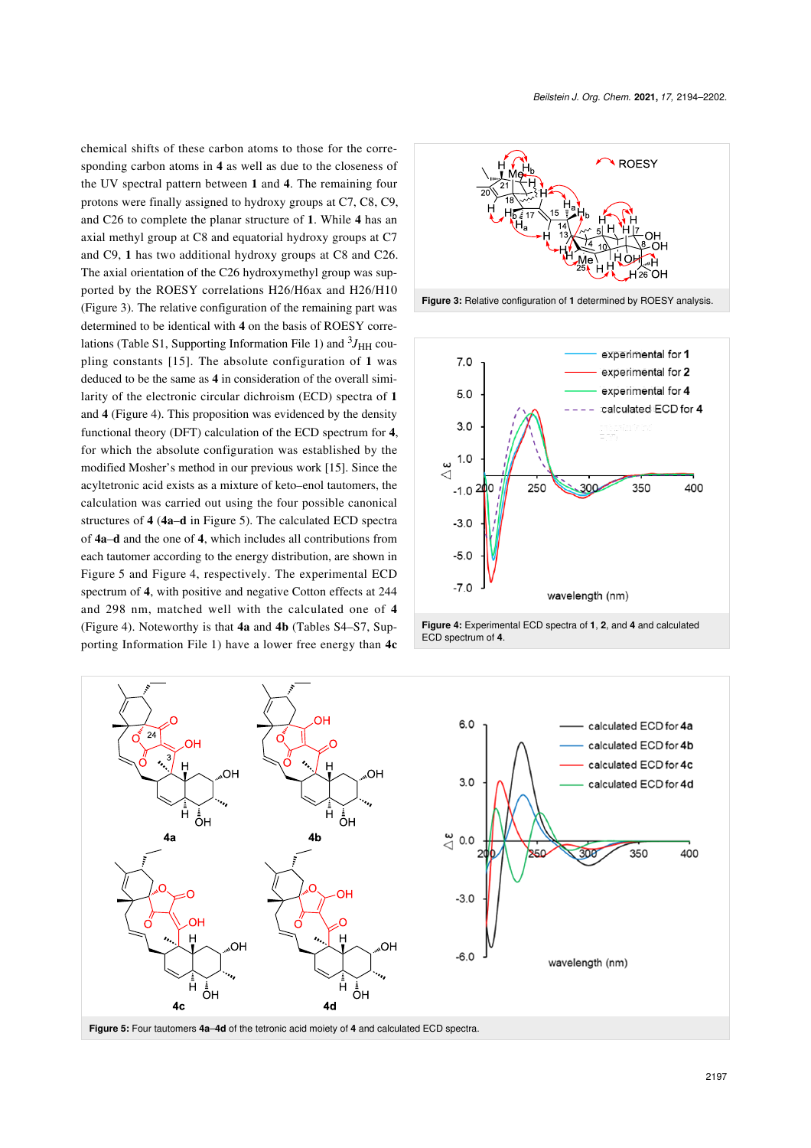chemical shifts of these carbon atoms to those for the corresponding carbon atoms in **4** as well as due to the closeness of the UV spectral pattern between **1** and **4**. The remaining four protons were finally assigned to hydroxy groups at C7, C8, C9, and C26 to complete the planar structure of **1**. While **4** has an axial methyl group at C8 and equatorial hydroxy groups at C7 and C9, **1** has two additional hydroxy groups at C8 and C26. The axial orientation of the C26 hydroxymethyl group was supported by the ROESY correlations H26/H6ax and H26/H10 ([Figure 3](#page-3-0)). The relative configuration of the remaining part was determined to be identical with **4** on the basis of ROESY corre-lations (Table S1, [Supporting Information File 1](#page-7-2)) and <sup>3</sup>J<sub>HH</sub> coupling constants [\[15\]](#page-8-7). The absolute configuration of **1** was deduced to be the same as **4** in consideration of the overall similarity of the electronic circular dichroism (ECD) spectra of **1** and **4** ([Figure 4](#page-3-1)). This proposition was evidenced by the density functional theory (DFT) calculation of the ECD spectrum for **4**, for which the absolute configuration was established by the modified Mosher's method in our previous work [\[15\]](#page-8-7). Since the acyltetronic acid exists as a mixture of keto–enol tautomers, the calculation was carried out using the four possible canonical structures of **4** (**4a**–**d** in [Figure 5](#page-3-2)). The calculated ECD spectra of **4a**–**d** and the one of **4**, which includes all contributions from each tautomer according to the energy distribution, are shown in [Figure 5](#page-3-2) and [Figure 4](#page-3-1), respectively. The experimental ECD spectrum of **4**, with positive and negative Cotton effects at 244 and 298 nm, matched well with the calculated one of **4** ([Figure 4\)](#page-3-1). Noteworthy is that **4a** and **4b** (Tables S4–S7, [Sup](#page-7-2)[porting Information File 1](#page-7-2)) have a lower free energy than **4c**

<span id="page-3-0"></span>

<span id="page-3-1"></span>



<span id="page-3-2"></span>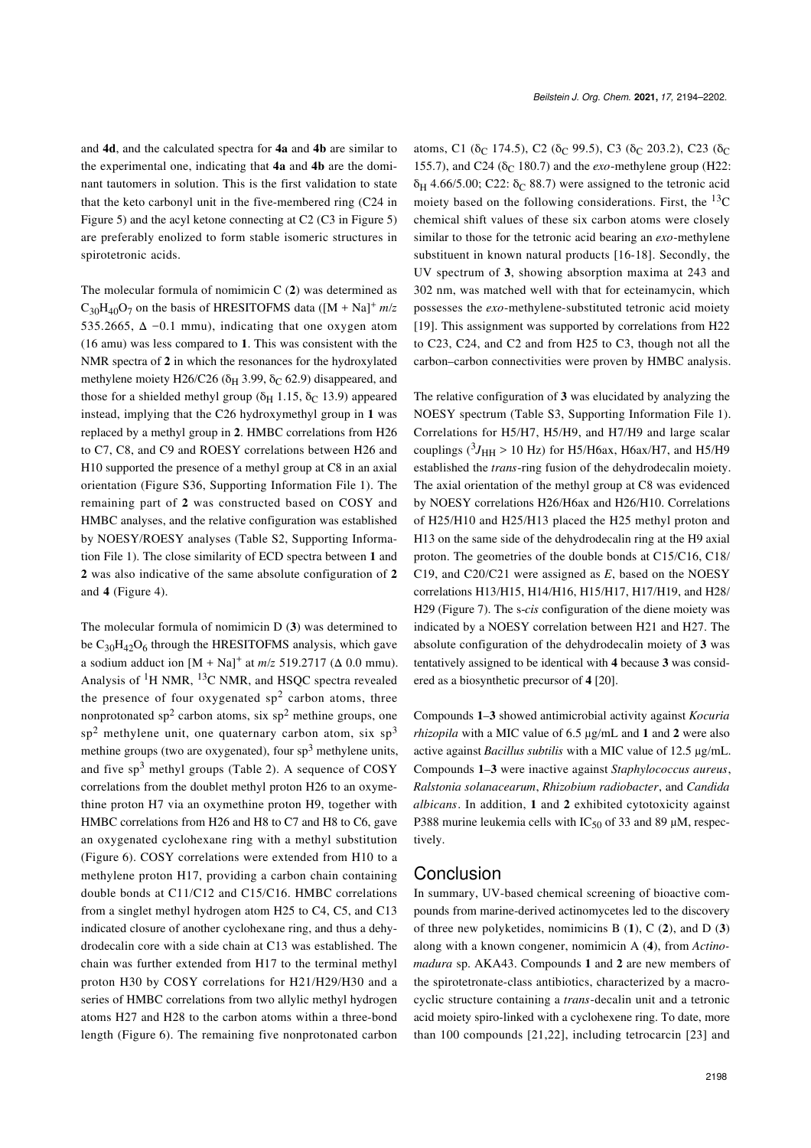and **4d**, and the calculated spectra for **4a** and **4b** are similar to the experimental one, indicating that **4a** and **4b** are the dominant tautomers in solution. This is the first validation to state that the keto carbonyl unit in the five-membered ring (C24 in [Figure 5](#page-3-2)) and the acyl ketone connecting at C2 (C3 in [Figure 5](#page-3-2)) are preferably enolized to form stable isomeric structures in spirotetronic acids.

The molecular formula of nomimicin C (**2**) was determined as  $C_{30}H_{40}O_7$  on the basis of HRESITOFMS data ( $[M + Na]^+$   $m/z$ 535.2665,  $\Delta$  -0.1 mmu), indicating that one oxygen atom (16 amu) was less compared to **1**. This was consistent with the NMR spectra of **2** in which the resonances for the hydroxylated methylene moiety H26/C26 ( $\delta$ H 3.99,  $\delta$ <sub>C</sub> 62.9) disappeared, and those for a shielded methyl group ( $\delta_H$  1.15,  $\delta_C$  13.9) appeared instead, implying that the C26 hydroxymethyl group in **1** was replaced by a methyl group in **2**. HMBC correlations from H26 to C7, C8, and C9 and ROESY correlations between H26 and H10 supported the presence of a methyl group at C8 in an axial orientation (Figure S36, [Supporting Information File 1](#page-7-2)). The remaining part of **2** was constructed based on COSY and HMBC analyses, and the relative configuration was established by NOESY/ROESY analyses (Table S2, [Supporting Informa](#page-7-2)[tion File 1](#page-7-2)). The close similarity of ECD spectra between **1** and **2** was also indicative of the same absolute configuration of **2** and **4** [\(Figure 4\)](#page-3-1).

The molecular formula of nomimicin D (**3**) was determined to be  $C_{30}H_{42}O_6$  through the HRESITOFMS analysis, which gave a sodium adduct ion  $[M + Na]<sup>+</sup>$  at  $m/z$  519.2717 ( $\Delta$  0.0 mmu). Analysis of 1H NMR, 13C NMR, and HSQC spectra revealed the presence of four oxygenated  $sp^2$  carbon atoms, three nonprotonated sp<sup>2</sup> carbon atoms, six sp<sup>2</sup> methine groups, one sp<sup>2</sup> methylene unit, one quaternary carbon atom, six sp<sup>3</sup> methine groups (two are oxygenated), four  $sp<sup>3</sup>$  methylene units, and five  $sp^3$  methyl groups ([Table 2](#page-5-0)). A sequence of COSY correlations from the doublet methyl proton H26 to an oxymethine proton H7 via an oxymethine proton H9, together with HMBC correlations from H26 and H8 to C7 and H8 to C6, gave an oxygenated cyclohexane ring with a methyl substitution ([Figure 6](#page-5-1)). COSY correlations were extended from H10 to a methylene proton H17, providing a carbon chain containing double bonds at C11/C12 and C15/C16. HMBC correlations from a singlet methyl hydrogen atom H25 to C4, C5, and C13 indicated closure of another cyclohexane ring, and thus a dehydrodecalin core with a side chain at C13 was established. The chain was further extended from H17 to the terminal methyl proton H30 by COSY correlations for H21/H29/H30 and a series of HMBC correlations from two allylic methyl hydrogen atoms H27 and H28 to the carbon atoms within a three-bond length ([Figure 6](#page-5-1)). The remaining five nonprotonated carbon

atoms, C1 ( $\delta_C$  174.5), C2 ( $\delta_C$  99.5), C3 ( $\delta_C$  203.2), C23 ( $\delta_C$ 155.7), and C24 ( $\delta$ <sub>C</sub> 180.7) and the *exo*-methylene group (H22: δ<sub>H</sub> 4.66/5.00; C22: δ<sub>C</sub> 88.7) were assigned to the tetronic acid moiety based on the following considerations. First, the  $^{13}$ C chemical shift values of these six carbon atoms were closely similar to those for the tetronic acid bearing an *exo*-methylene substituent in known natural products [\[16-18\]](#page-8-8). Secondly, the UV spectrum of **3**, showing absorption maxima at 243 and 302 nm, was matched well with that for ecteinamycin, which possesses the *exo*-methylene-substituted tetronic acid moiety [\[19\].](#page-8-9) This assignment was supported by correlations from H22 to C23, C24, and C2 and from H25 to C3, though not all the carbon–carbon connectivities were proven by HMBC analysis.

The relative configuration of **3** was elucidated by analyzing the NOESY spectrum (Table S3, [Supporting Information File 1\)](#page-7-2). Correlations for H5/H7, H5/H9, and H7/H9 and large scalar couplings ( ${}^{3}J_{\text{HH}}$  > 10 Hz) for H5/H6ax, H6ax/H7, and H5/H9 established the *trans*-ring fusion of the dehydrodecalin moiety. The axial orientation of the methyl group at C8 was evidenced by NOESY correlations H26/H6ax and H26/H10. Correlations of H25/H10 and H25/H13 placed the H25 methyl proton and H13 on the same side of the dehydrodecalin ring at the H9 axial proton. The geometries of the double bonds at C15/C16, C18/ C19, and C20/C21 were assigned as *E*, based on the NOESY correlations H13/H15, H14/H16, H15/H17, H17/H19, and H28/ H29 ([Figure 7\)](#page-5-2). The s-*cis* configuration of the diene moiety was indicated by a NOESY correlation between H21 and H27. The absolute configuration of the dehydrodecalin moiety of **3** was tentatively assigned to be identical with **4** because **3** was considered as a biosynthetic precursor of **4** [\[20\]](#page-8-10).

Compounds **1**‒**3** showed antimicrobial activity against *Kocuria rhizopila* with a MIC value of 6.5 μg/mL and **1** and **2** were also active against *Bacillus subtilis* with a MIC value of 12.5 μg/mL. Compounds **1**–**3** were inactive against *Staphylococcus aureus*, *Ralstonia solanacearum*, *Rhizobium radiobacter*, and *Candida albicans*. In addition, **1** and **2** exhibited cytotoxicity against P388 murine leukemia cells with  $IC_{50}$  of 33 and 89 µM, respectively.

### Conclusion

In summary, UV-based chemical screening of bioactive compounds from marine-derived actinomycetes led to the discovery of three new polyketides, nomimicins B (**1**), C (**2**), and D (**3**) along with a known congener, nomimicin A (**4**), from *Actinomadura* sp. AKA43. Compounds **1** and **2** are new members of the spirotetronate-class antibiotics, characterized by a macrocyclic structure containing a *trans*-decalin unit and a tetronic acid moiety spiro-linked with a cyclohexene ring. To date, more than 100 compounds [\[21,22\]](#page-8-11), including tetrocarcin [\[23\]](#page-8-12) and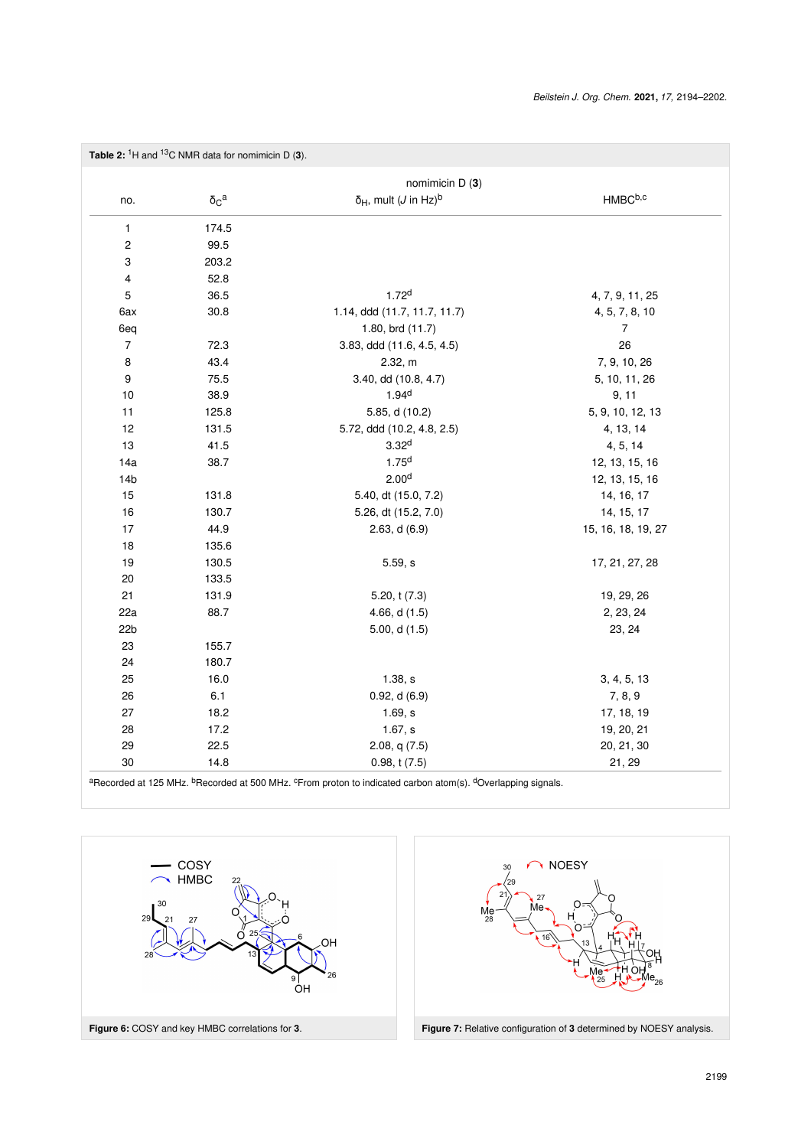<span id="page-5-0"></span>

| Table 2: ${}^{1}$ H and ${}^{13}$ C NMR data for nomimicin D (3). |                 |                                                  |                    |  |  |  |  |
|-------------------------------------------------------------------|-----------------|--------------------------------------------------|--------------------|--|--|--|--|
|                                                                   | nomimicin D (3) |                                                  |                    |  |  |  |  |
| no.                                                               | $\delta_C^a$    | $\delta_H$ , mult ( <i>J</i> in Hz) <sup>b</sup> | HMBCb,c            |  |  |  |  |
| 1                                                                 | 174.5           |                                                  |                    |  |  |  |  |
| $\overline{\mathbf{c}}$                                           | 99.5            |                                                  |                    |  |  |  |  |
| 3                                                                 | 203.2           |                                                  |                    |  |  |  |  |
| 4                                                                 | 52.8            |                                                  |                    |  |  |  |  |
| $\sqrt{5}$                                                        | 36.5            | 1.72 <sup>d</sup>                                | 4, 7, 9, 11, 25    |  |  |  |  |
| 6ax                                                               | 30.8            | 1.14, ddd (11.7, 11.7, 11.7)                     | 4, 5, 7, 8, 10     |  |  |  |  |
| 6eq                                                               |                 | 1.80, brd (11.7)                                 | $\overline{7}$     |  |  |  |  |
| $\overline{7}$                                                    | 72.3            | 3.83, ddd (11.6, 4.5, 4.5)                       | 26                 |  |  |  |  |
| 8                                                                 | 43.4            | 2.32, m                                          | 7, 9, 10, 26       |  |  |  |  |
| 9                                                                 | 75.5            | 3.40, dd (10.8, 4.7)                             | 5, 10, 11, 26      |  |  |  |  |
| 10                                                                | 38.9            | 1.94 <sup>d</sup>                                | 9, 11              |  |  |  |  |
| 11                                                                | 125.8           | 5.85, d (10.2)                                   | 5, 9, 10, 12, 13   |  |  |  |  |
| 12                                                                | 131.5           | 5.72, ddd (10.2, 4.8, 2.5)                       | 4, 13, 14          |  |  |  |  |
| 13                                                                | 41.5            | 3.32 <sup>d</sup>                                | 4, 5, 14           |  |  |  |  |
| 14a                                                               | 38.7            | 1.75 <sup>d</sup>                                | 12, 13, 15, 16     |  |  |  |  |
| 14 <sub>b</sub>                                                   |                 | 2.00 <sup>d</sup>                                | 12, 13, 15, 16     |  |  |  |  |
| 15                                                                | 131.8           | 5.40, dt (15.0, 7.2)                             | 14, 16, 17         |  |  |  |  |
| 16                                                                | 130.7           | 5.26, dt (15.2, 7.0)                             | 14, 15, 17         |  |  |  |  |
| 17                                                                | 44.9            | 2.63, d(6.9)                                     | 15, 16, 18, 19, 27 |  |  |  |  |
| 18                                                                | 135.6           |                                                  |                    |  |  |  |  |
| 19                                                                | 130.5           | 5.59, s                                          | 17, 21, 27, 28     |  |  |  |  |
| 20                                                                | 133.5           |                                                  |                    |  |  |  |  |
| 21                                                                | 131.9           | 5.20, t (7.3)                                    | 19, 29, 26         |  |  |  |  |
| 22a                                                               | 88.7            | 4.66, d $(1.5)$                                  | 2, 23, 24          |  |  |  |  |
| 22 <sub>b</sub>                                                   |                 | 5.00, d $(1.5)$                                  | 23, 24             |  |  |  |  |
| 23                                                                | 155.7           |                                                  |                    |  |  |  |  |
| 24                                                                | 180.7           |                                                  |                    |  |  |  |  |
| 25                                                                | 16.0            | 1.38, s                                          | 3, 4, 5, 13        |  |  |  |  |
| 26                                                                | 6.1             | 0.92, d(6.9)                                     | 7, 8, 9            |  |  |  |  |
| 27                                                                | 18.2            | 1.69, s                                          | 17, 18, 19         |  |  |  |  |
| 28                                                                | 17.2            | 1.67, s                                          | 19, 20, 21         |  |  |  |  |
| 29                                                                | 22.5            | 2.08, $q(7.5)$                                   | 20, 21, 30         |  |  |  |  |
| 30                                                                | 14.8            | 0.98, t(7.5)                                     | 21, 29             |  |  |  |  |

aRecorded at 125 MHz. <sup>b</sup>Recorded at 500 MHz. <sup>c</sup>From proton to indicated carbon atom(s). <sup>d</sup>Overlapping signals.



<span id="page-5-2"></span><span id="page-5-1"></span>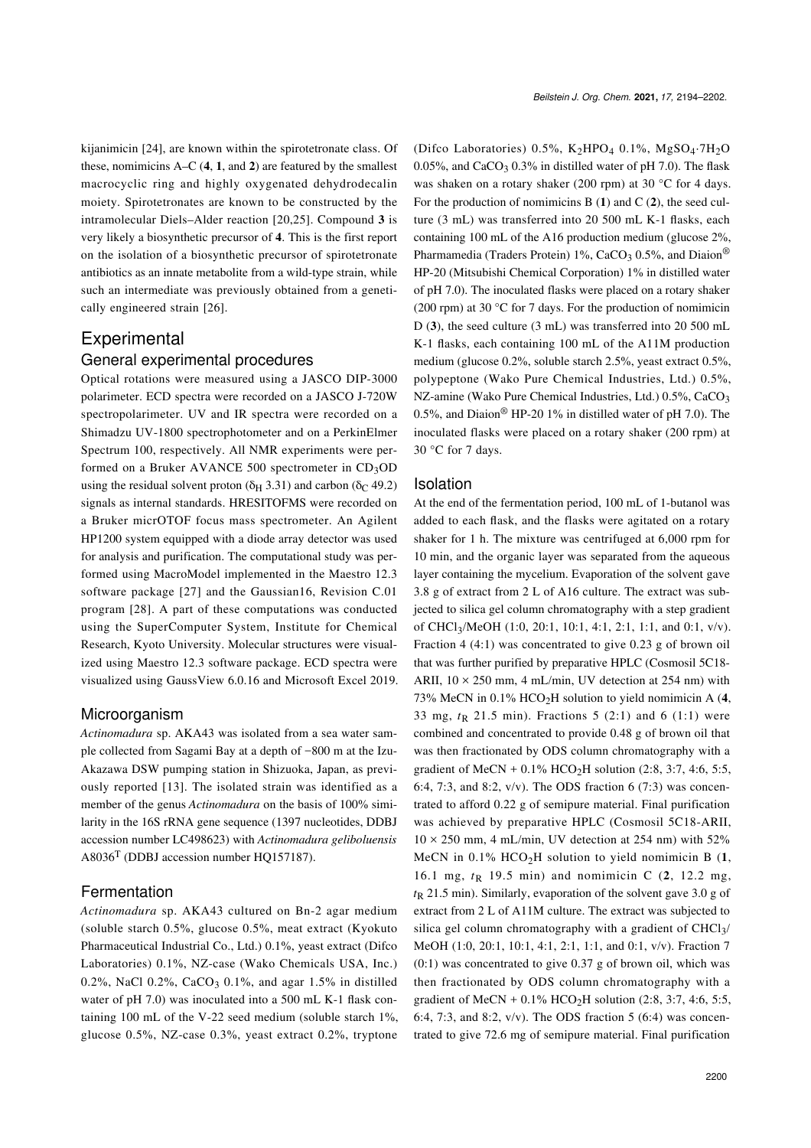kijanimicin [\[24\]](#page-8-13), are known within the spirotetronate class. Of these, nomimicins A–C (**4**, **1**, and **2**) are featured by the smallest macrocyclic ring and highly oxygenated dehydrodecalin moiety. Spirotetronates are known to be constructed by the intramolecular Diels–Alder reaction [\[20,25\].](#page-8-10) Compound **3** is very likely a biosynthetic precursor of **4**. This is the first report on the isolation of a biosynthetic precursor of spirotetronate antibiotics as an innate metabolite from a wild-type strain, while such an intermediate was previously obtained from a genetically engineered strain [\[26\].](#page-8-14)

# **Experimental**

#### General experimental procedures

Optical rotations were measured using a JASCO DIP-3000 polarimeter. ECD spectra were recorded on a JASCO J-720W spectropolarimeter. UV and IR spectra were recorded on a Shimadzu UV-1800 spectrophotometer and on a PerkinElmer Spectrum 100, respectively. All NMR experiments were performed on a Bruker AVANCE 500 spectrometer in  $CD_3OD$ using the residual solvent proton ( $\delta$ H 3.31) and carbon ( $\delta$ C 49.2) signals as internal standards. HRESITOFMS were recorded on a Bruker micrOTOF focus mass spectrometer. An Agilent HP1200 system equipped with a diode array detector was used for analysis and purification. The computational study was performed using MacroModel implemented in the Maestro 12.3 software package [\[27\]](#page-8-15) and the Gaussian16, Revision C.01 program [\[28\]](#page-8-16). A part of these computations was conducted using the SuperComputer System, Institute for Chemical Research, Kyoto University. Molecular structures were visualized using Maestro 12.3 software package. ECD spectra were visualized using GaussView 6.0.16 and Microsoft Excel 2019.

### Microorganism

*Actinomadura* sp. AKA43 was isolated from a sea water sample collected from Sagami Bay at a depth of −800 m at the Izu-Akazawa DSW pumping station in Shizuoka, Japan, as previously reported [\[13\]](#page-8-5). The isolated strain was identified as a member of the genus *Actinomadura* on the basis of 100% similarity in the 16S rRNA gene sequence (1397 nucleotides, DDBJ accession number LC498623) with *Actinomadura geliboluensis*  $A8036<sup>T</sup>$  (DDBJ accession number HO157187).

### Fermentation

*Actinomadura* sp. AKA43 cultured on Bn-2 agar medium (soluble starch 0.5%, glucose 0.5%, meat extract (Kyokuto Pharmaceutical Industrial Co., Ltd.) 0.1%, yeast extract (Difco Laboratories) 0.1%, NZ-case (Wako Chemicals USA, Inc.) 0.2%, NaCl 0.2%, CaCO<sub>3</sub> 0.1%, and agar 1.5% in distilled water of pH 7.0) was inoculated into a 500 mL K-1 flask containing 100 mL of the V-22 seed medium (soluble starch 1%, glucose 0.5%, NZ-case 0.3%, yeast extract 0.2%, tryptone

(Difco Laboratories) 0.5%,  $K_2HPO_4$  0.1%,  $MgSO_4.7H_2O$ 0.05%, and CaCO<sub>3</sub> 0.3% in distilled water of pH 7.0). The flask was shaken on a rotary shaker (200 rpm) at 30 °C for 4 days. For the production of nomimicins B (**1**) and C (**2**), the seed culture (3 mL) was transferred into 20 500 mL K-1 flasks, each containing 100 mL of the A16 production medium (glucose 2%, Pharmamedia (Traders Protein) 1%, CaCO<sub>3</sub> 0.5%, and Diaion<sup>®</sup> HP-20 (Mitsubishi Chemical Corporation) 1% in distilled water of pH 7.0). The inoculated flasks were placed on a rotary shaker (200 rpm) at 30 °C for 7 days. For the production of nomimicin D (**3**), the seed culture (3 mL) was transferred into 20 500 mL K-1 flasks, each containing 100 mL of the A11M production medium (glucose 0.2%, soluble starch 2.5%, yeast extract 0.5%, polypeptone (Wako Pure Chemical Industries, Ltd.) 0.5%, NZ-amine (Wako Pure Chemical Industries, Ltd.) 0.5%, CaCO<sub>3</sub> 0.5%, and Diaion® HP-20 1% in distilled water of pH 7.0). The inoculated flasks were placed on a rotary shaker (200 rpm) at 30 °C for 7 days.

#### Isolation

At the end of the fermentation period, 100 mL of 1-butanol was added to each flask, and the flasks were agitated on a rotary shaker for 1 h. The mixture was centrifuged at 6,000 rpm for 10 min, and the organic layer was separated from the aqueous layer containing the mycelium. Evaporation of the solvent gave 3.8 g of extract from 2 L of A16 culture. The extract was subjected to silica gel column chromatography with a step gradient of CHCl3/MeOH (1:0, 20:1, 10:1, 4:1, 2:1, 1:1, and 0:1, v/v). Fraction 4 (4:1) was concentrated to give 0.23 g of brown oil that was further purified by preparative HPLC (Cosmosil 5C18- ARII,  $10 \times 250$  mm, 4 mL/min, UV detection at 254 nm) with 73% MeCN in 0.1% HCO2H solution to yield nomimicin A (**4**, 33 mg,  $t_R$  21.5 min). Fractions 5 (2:1) and 6 (1:1) were combined and concentrated to provide 0.48 g of brown oil that was then fractionated by ODS column chromatography with a gradient of MeCN +  $0.1\%$  HCO<sub>2</sub>H solution (2:8, 3:7, 4:6, 5:5, 6:4, 7:3, and 8:2,  $v/v$ ). The ODS fraction 6 (7:3) was concentrated to afford 0.22 g of semipure material. Final purification was achieved by preparative HPLC (Cosmosil 5C18-ARII,  $10 \times 250$  mm, 4 mL/min, UV detection at 254 nm) with 52% MeCN in  $0.1\%$  HCO<sub>2</sub>H solution to yield nomimicin B  $(1, 1)$ 16.1 mg,  $t_{R}$  19.5 min) and nomimicin C (2, 12.2 mg, *t*R 21.5 min). Similarly, evaporation of the solvent gave 3.0 g of extract from 2 L of A11M culture. The extract was subjected to silica gel column chromatography with a gradient of CHCl<sub>3</sub>/ MeOH (1:0, 20:1, 10:1, 4:1, 2:1, 1:1, and 0:1, v/v). Fraction 7  $(0:1)$  was concentrated to give 0.37 g of brown oil, which was then fractionated by ODS column chromatography with a gradient of MeCN +  $0.1\%$  HCO<sub>2</sub>H solution (2:8, 3:7, 4:6, 5:5, 6:4, 7:3, and 8:2,  $v/v$ ). The ODS fraction 5 (6:4) was concentrated to give 72.6 mg of semipure material. Final purification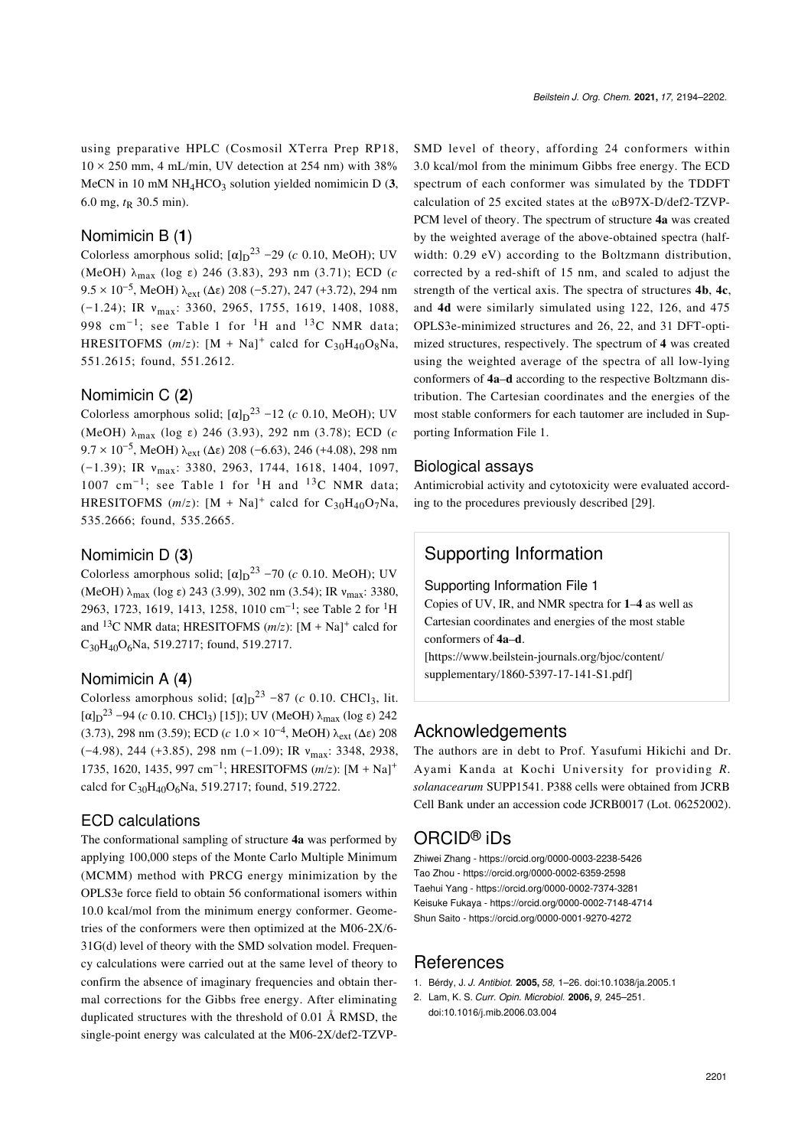using preparative HPLC (Cosmosil XTerra Prep RP18,  $10 \times 250$  mm, 4 mL/min, UV detection at 254 nm) with 38% MeCN in 10 mM  $NH_4HCO_3$  solution yielded nomimicin D  $(3, 1)$ 6.0 mg,  $t<sub>R</sub>$  30.5 min).

### Nomimicin B (**1**)

Colorless amorphous solid;  $\left[\alpha\right]_{D}^{23}$  –29 (*c* 0.10, MeOH); UV (MeOH) λmax (log ε) 246 (3.83), 293 nm (3.71); ECD (*c* 9.5 × 10<sup>-5</sup>, MeOH) λ<sub>ext</sub> (Δε) 208 (-5.27), 247 (+3.72), 294 nm (−1.24); IR νmax: 3360, 2965, 1755, 1619, 1408, 1088, 998 cm<sup>-1</sup>; see [Table 1](#page-2-0) for <sup>1</sup>H and <sup>13</sup>C NMR data; HRESITOFMS  $(m/z)$ :  $[M + Na]$ <sup>+</sup> calcd for C<sub>30</sub>H<sub>40</sub>O<sub>8</sub>Na, 551.2615; found, 551.2612.

#### Nomimicin C (**2**)

Colorless amorphous solid;  $\left[\alpha\right]_D$ <sup>23</sup> -12 (*c* 0.10, MeOH); UV (MeOH) λmax (log ε) 246 (3.93), 292 nm (3.78); ECD (*c* 9.7 × 10<sup>-5</sup>, MeOH)  $\lambda_{ext}$  (Δε) 208 (-6.63), 246 (+4.08), 298 nm (−1.39); IR νmax: 3380, 2963, 1744, 1618, 1404, 1097, 1007 cm<sup>-1</sup>; see [Table 1](#page-2-0) for <sup>1</sup>H and <sup>13</sup>C NMR data; HRESITOFMS  $(m/z)$ :  $[M + Na]$ <sup>+</sup> calcd for C<sub>30</sub>H<sub>40</sub>O<sub>7</sub>Na, 535.2666; found, 535.2665.

#### Nomimicin D (**3**)

Colorless amorphous solid;  $\left[\alpha\right]_D$ <sup>23</sup> –70 (*c* 0.10. MeOH); UV (MeOH)  $\lambda_{\text{max}}$  (log ε) 243 (3.99), 302 nm (3.54); IR  $v_{\text{max}}$ : 3380, 2963, 1723, 1619, 1413, 1258, 1010 cm<sup>-1</sup>; see [Table 2](#page-5-0) for <sup>1</sup>H and <sup>13</sup>C NMR data; HRESITOFMS  $(m/z)$ :  $[M + Na]$ <sup>+</sup> calcd for  $C_{30}H_{40}O_6$ Na, 519.2717; found, 519.2717.

#### Nomimicin A (**4**)

Colorless amorphous solid;  $[\alpha]_D^{23}$  –87 (*c* 0.10. CHCl<sub>3</sub>, lit. [α]<sub>D</sub><sup>23</sup> –94 (*c* 0.10. CHCl<sub>3</sub>) [\[15\]](#page-8-7)); UV (MeOH)  $\lambda_{\text{max}}$  (log ε) 242 (3.73), 298 nm (3.59); ECD (*c*  $1.0 \times 10^{-4}$ , MeOH)  $\lambda_{ext}$  ( $\Delta \varepsilon$ ) 208 (−4.98), 244 (+3.85), 298 nm (−1.09); IR νmax: 3348, 2938, 1735, 1620, 1435, 997 cm−<sup>1</sup> ; HRESITOFMS (*m*/*z*): [M + Na]<sup>+</sup> calcd for  $C_{30}H_{40}O_6$ Na, 519.2717; found, 519.2722.

#### ECD calculations

The conformational sampling of structure **4a** was performed by applying 100,000 steps of the Monte Carlo Multiple Minimum (MCMM) method with PRCG energy minimization by the OPLS3e force field to obtain 56 conformational isomers within 10.0 kcal/mol from the minimum energy conformer. Geometries of the conformers were then optimized at the M06-2X/6- 31G(d) level of theory with the SMD solvation model. Frequency calculations were carried out at the same level of theory to confirm the absence of imaginary frequencies and obtain thermal corrections for the Gibbs free energy. After eliminating duplicated structures with the threshold of 0.01 Å RMSD, the single-point energy was calculated at the M06-2X/def2-TZVP-

SMD level of theory, affording 24 conformers within 3.0 kcal/mol from the minimum Gibbs free energy. The ECD spectrum of each conformer was simulated by the TDDFT calculation of 25 excited states at the ωB97X-D/def2-TZVP-PCM level of theory. The spectrum of structure **4a** was created by the weighted average of the above-obtained spectra (halfwidth: 0.29 eV) according to the Boltzmann distribution, corrected by a red-shift of 15 nm, and scaled to adjust the strength of the vertical axis. The spectra of structures **4b**, **4c**, and **4d** were similarly simulated using 122, 126, and 475 OPLS3e-minimized structures and 26, 22, and 31 DFT-optimized structures, respectively. The spectrum of **4** was created using the weighted average of the spectra of all low-lying conformers of **4a**–**d** according to the respective Boltzmann distribution. The Cartesian coordinates and the energies of the most stable conformers for each tautomer are included in [Sup](#page-7-2)[porting Information File 1](#page-7-2).

#### Biological assays

Antimicrobial activity and cytotoxicity were evaluated according to the procedures previously described [\[29\]](#page-8-17).

# Supporting Information

#### <span id="page-7-2"></span>Supporting Information File 1

Copies of UV, IR, and NMR spectra for **1**–**4** as well as Cartesian coordinates and energies of the most stable conformers of **4a**–**d**. [\[https://www.beilstein-journals.org/bjoc/content/](https://www.beilstein-journals.org/bjoc/content/supplementary/1860-5397-17-141-S1.pdf)

[supplementary/1860-5397-17-141-S1.pdf\]](https://www.beilstein-journals.org/bjoc/content/supplementary/1860-5397-17-141-S1.pdf)

### Acknowledgements

The authors are in debt to Prof. Yasufumi Hikichi and Dr. Ayami Kanda at Kochi University for providing *R. solanacearum* SUPP1541. P388 cells were obtained from JCRB Cell Bank under an accession code JCRB0017 (Lot. 06252002).

# ORCID® iDs

Zhiwei Zhang - <https://orcid.org/0000-0003-2238-5426> Tao Zhou - <https://orcid.org/0000-0002-6359-2598> Taehui Yang -<https://orcid.org/0000-0002-7374-3281> Keisuke Fukaya - <https://orcid.org/0000-0002-7148-4714> Shun Saito -<https://orcid.org/0000-0001-9270-4272>

## **References**

- <span id="page-7-0"></span>1. Bérdy, J. *J. Antibiot.* **2005,** *58,* 1–26. [doi:10.1038/ja.2005.1](https://doi.org/10.1038%2Fja.2005.1)
- <span id="page-7-1"></span>2. Lam, K. S. *Curr. Opin. Microbiol.* **2006,** *9,* 245–251. [doi:10.1016/j.mib.2006.03.004](https://doi.org/10.1016%2Fj.mib.2006.03.004)